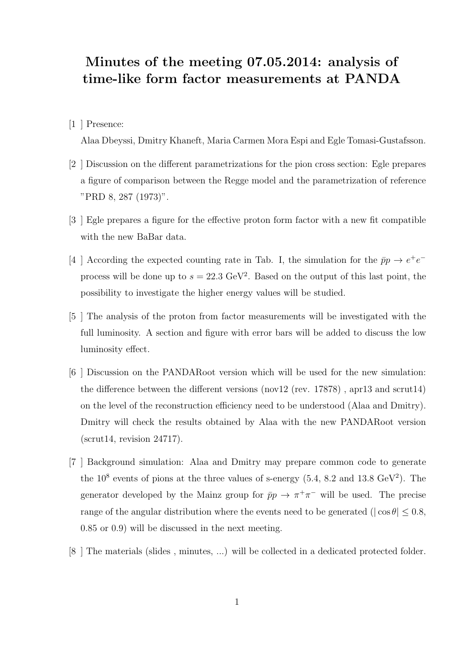## Minutes of the meeting 07.05.2014: analysis of time-like form factor measurements at PANDA

[1 ] Presence:

Alaa Dbeyssi, Dmitry Khaneft, Maria Carmen Mora Espi and Egle Tomasi-Gustafsson.

- [2 ] Discussion on the different parametrizations for the pion cross section: Egle prepares a figure of comparison between the Regge model and the parametrization of reference "PRD 8, 287 (1973)".
- [3 ] Egle prepares a figure for the effective proton form factor with a new fit compatible with the new BaBar data.
- [4 ] According the expected counting rate in Tab. I, the simulation for the  $\bar{p}p \to e^+e^$ process will be done up to  $s = 22.3 \text{ GeV}^2$ . Based on the output of this last point, the possibility to investigate the higher energy values will be studied.
- [5 ] The analysis of the proton from factor measurements will be investigated with the full luminosity. A section and figure with error bars will be added to discuss the low luminosity effect.
- [6 ] Discussion on the PANDARoot version which will be used for the new simulation: the difference between the different versions (nov12 (rev. 17878) , apr13 and scrut14) on the level of the reconstruction efficiency need to be understood (Alaa and Dmitry). Dmitry will check the results obtained by Alaa with the new PANDARoot version  $(scrut14, revision 24717).$
- [7 ] Background simulation: Alaa and Dmitry may prepare common code to generate the  $10^8$  events of pions at the three values of s-energy  $(5.4, 8.2 \text{ and } 13.8 \text{ GeV}^2)$ . The generator developed by the Mainz group for  $\bar{p}p \to \pi^+\pi^-$  will be used. The precise range of the angular distribution where the events need to be generated ( $|\cos \theta| \leq 0.8$ , 0.85 or 0.9) will be discussed in the next meeting.
- [8 ] The materials (slides , minutes, ...) will be collected in a dedicated protected folder.